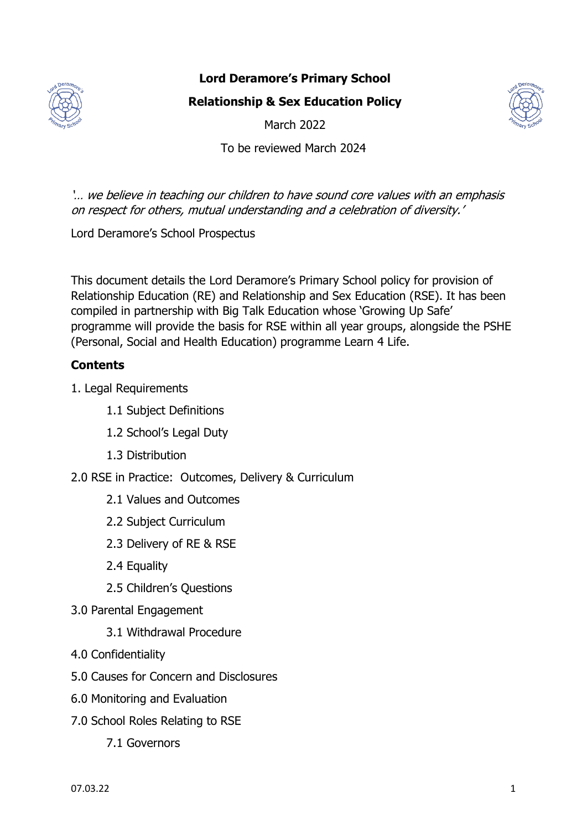

# **Lord Deramore's Primary School**

**Relationship & Sex Education Policy**



March 2022

To be reviewed March 2024

'… we believe in teaching our children to have sound core values with an emphasis on respect for others, mutual understanding and a celebration of diversity.'

Lord Deramore's School Prospectus

This document details the Lord Deramore's Primary School policy for provision of Relationship Education (RE) and Relationship and Sex Education (RSE). It has been compiled in partnership with Big Talk Education whose 'Growing Up Safe' programme will provide the basis for RSE within all year groups, alongside the PSHE (Personal, Social and Health Education) programme Learn 4 Life.

# **Contents**

- 1. Legal Requirements
	- 1.1 Subject Definitions
	- 1.2 School's Legal Duty
	- 1.3 Distribution
- 2.0 RSE in Practice: Outcomes, Delivery & Curriculum
	- 2.1 Values and Outcomes
	- 2.2 Subject Curriculum
	- 2.3 Delivery of RE & RSE
	- 2.4 Equality
	- 2.5 Children's Questions
- 3.0 Parental Engagement
	- 3.1 Withdrawal Procedure
- 4.0 Confidentiality
- 5.0 Causes for Concern and Disclosures
- 6.0 Monitoring and Evaluation
- 7.0 School Roles Relating to RSE
	- 7.1 Governors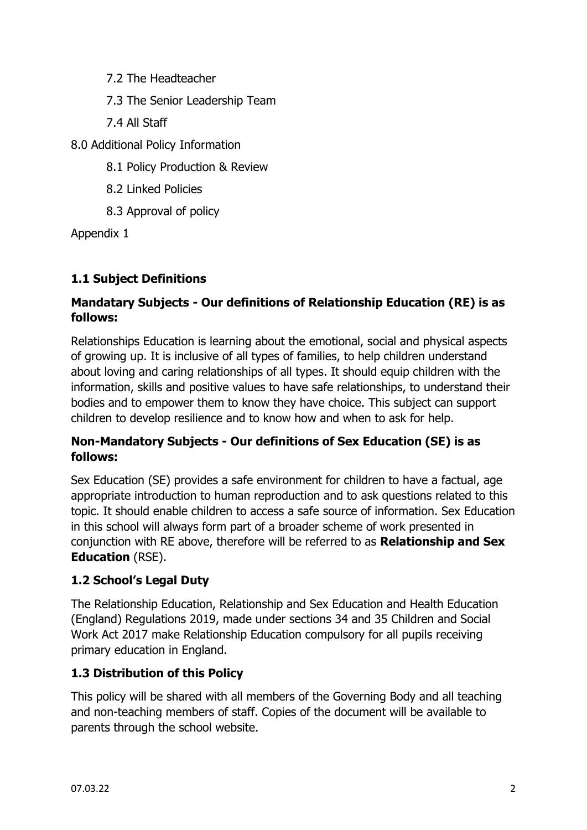7.2 The Headteacher

7.3 The Senior Leadership Team

7.4 All Staff

8.0 Additional Policy Information

8.1 Policy Production & Review

8.2 Linked Policies

8.3 Approval of policy

Appendix 1

# **1.1 Subject Definitions**

# **Mandatary Subjects - Our definitions of Relationship Education (RE) is as follows:**

Relationships Education is learning about the emotional, social and physical aspects of growing up. It is inclusive of all types of families, to help children understand about loving and caring relationships of all types. It should equip children with the information, skills and positive values to have safe relationships, to understand their bodies and to empower them to know they have choice. This subject can support children to develop resilience and to know how and when to ask for help.

# **Non-Mandatory Subjects - Our definitions of Sex Education (SE) is as follows:**

Sex Education (SE) provides a safe environment for children to have a factual, age appropriate introduction to human reproduction and to ask questions related to this topic. It should enable children to access a safe source of information. Sex Education in this school will always form part of a broader scheme of work presented in conjunction with RE above, therefore will be referred to as **Relationship and Sex Education** (RSE).

# **1.2 School's Legal Duty**

The Relationship Education, Relationship and Sex Education and Health Education (England) Regulations 2019, made under sections 34 and 35 Children and Social Work Act 2017 make Relationship Education compulsory for all pupils receiving primary education in England.

# **1.3 Distribution of this Policy**

This policy will be shared with all members of the Governing Body and all teaching and non-teaching members of staff. Copies of the document will be available to parents through the school website.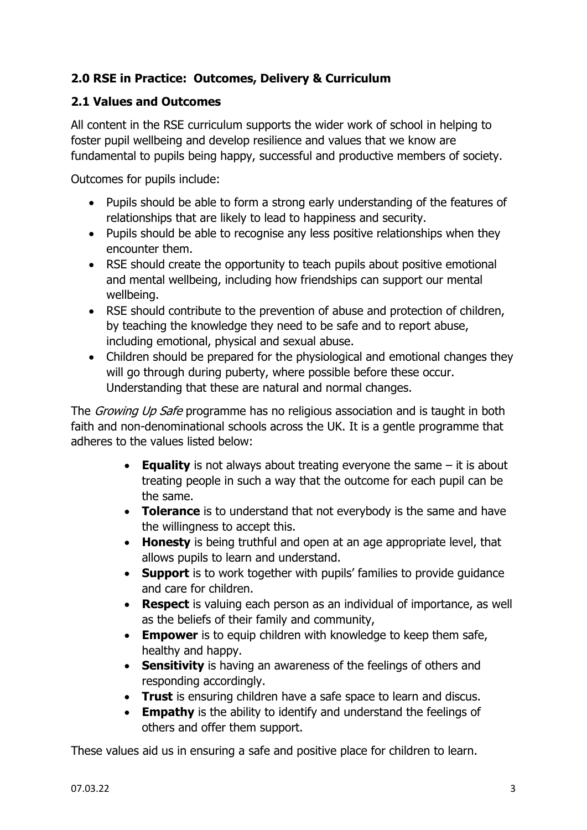# **2.0 RSE in Practice: Outcomes, Delivery & Curriculum**

#### **2.1 Values and Outcomes**

All content in the RSE curriculum supports the wider work of school in helping to foster pupil wellbeing and develop resilience and values that we know are fundamental to pupils being happy, successful and productive members of society.

Outcomes for pupils include:

- Pupils should be able to form a strong early understanding of the features of relationships that are likely to lead to happiness and security.
- Pupils should be able to recognise any less positive relationships when they encounter them.
- RSE should create the opportunity to teach pupils about positive emotional and mental wellbeing, including how friendships can support our mental wellbeing.
- RSE should contribute to the prevention of abuse and protection of children, by teaching the knowledge they need to be safe and to report abuse, including emotional, physical and sexual abuse.
- Children should be prepared for the physiological and emotional changes they will go through during puberty, where possible before these occur. Understanding that these are natural and normal changes.

The *Growing Up Safe* programme has no religious association and is taught in both faith and non-denominational schools across the UK. It is a gentle programme that adheres to the values listed below:

- **Equality** is not always about treating everyone the same it is about treating people in such a way that the outcome for each pupil can be the same.
- **Tolerance** is to understand that not everybody is the same and have the willingness to accept this.
- **Honesty** is being truthful and open at an age appropriate level, that allows pupils to learn and understand.
- **Support** is to work together with pupils' families to provide guidance and care for children.
- **Respect** is valuing each person as an individual of importance, as well as the beliefs of their family and community,
- **Empower** is to equip children with knowledge to keep them safe, healthy and happy.
- **Sensitivity** is having an awareness of the feelings of others and responding accordingly.
- **Trust** is ensuring children have a safe space to learn and discus.
- **Empathy** is the ability to identify and understand the feelings of others and offer them support.

These values aid us in ensuring a safe and positive place for children to learn.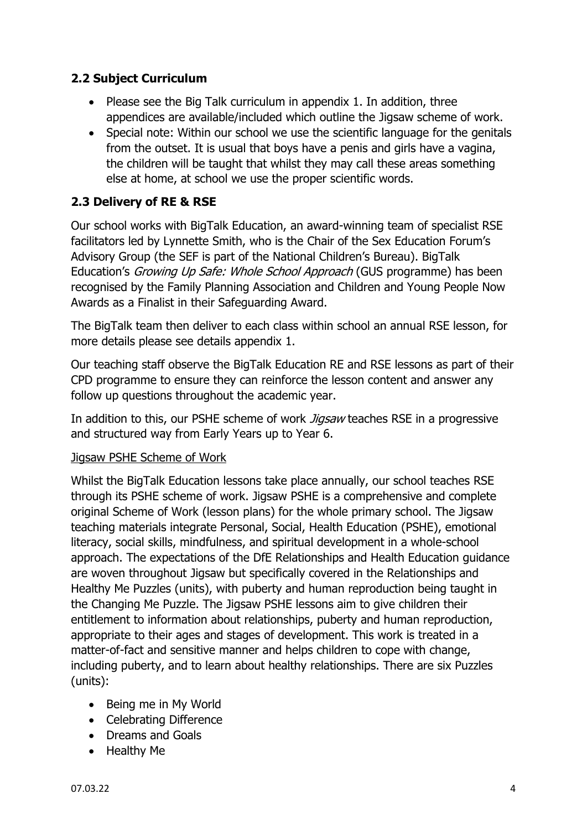## **2.2 Subject Curriculum**

- Please see the Big Talk curriculum in appendix 1. In addition, three appendices are available/included which outline the Jigsaw scheme of work.
- Special note: Within our school we use the scientific language for the genitals from the outset. It is usual that boys have a penis and girls have a vagina, the children will be taught that whilst they may call these areas something else at home, at school we use the proper scientific words.

#### **2.3 Delivery of RE & RSE**

Our school works with BigTalk Education, an award-winning team of specialist RSE facilitators led by Lynnette Smith, who is the Chair of the Sex Education Forum's Advisory Group (the SEF is part of the National Children's Bureau). BigTalk Education's Growing Up Safe: Whole School Approach (GUS programme) has been recognised by the Family Planning Association and Children and Young People Now Awards as a Finalist in their Safeguarding Award.

The BigTalk team then deliver to each class within school an annual RSE lesson, for more details please see details appendix 1.

Our teaching staff observe the BigTalk Education RE and RSE lessons as part of their CPD programme to ensure they can reinforce the lesson content and answer any follow up questions throughout the academic year.

In addition to this, our PSHE scheme of work *Jiasaw* teaches RSE in a progressive and structured way from Early Years up to Year 6.

#### Jigsaw PSHE Scheme of Work

Whilst the BigTalk Education lessons take place annually, our school teaches RSE through its PSHE scheme of work. Jigsaw PSHE is a comprehensive and complete original Scheme of Work (lesson plans) for the whole primary school. The Jigsaw teaching materials integrate Personal, Social, Health Education (PSHE), emotional literacy, social skills, mindfulness, and spiritual development in a whole-school approach. The expectations of the DfE Relationships and Health Education guidance are woven throughout Jigsaw but specifically covered in the Relationships and Healthy Me Puzzles (units), with puberty and human reproduction being taught in the Changing Me Puzzle. The Jigsaw PSHE lessons aim to give children their entitlement to information about relationships, puberty and human reproduction, appropriate to their ages and stages of development. This work is treated in a matter-of-fact and sensitive manner and helps children to cope with change, including puberty, and to learn about healthy relationships. There are six Puzzles (units):

- Being me in My World
- Celebrating Difference
- Dreams and Goals
- Healthy Me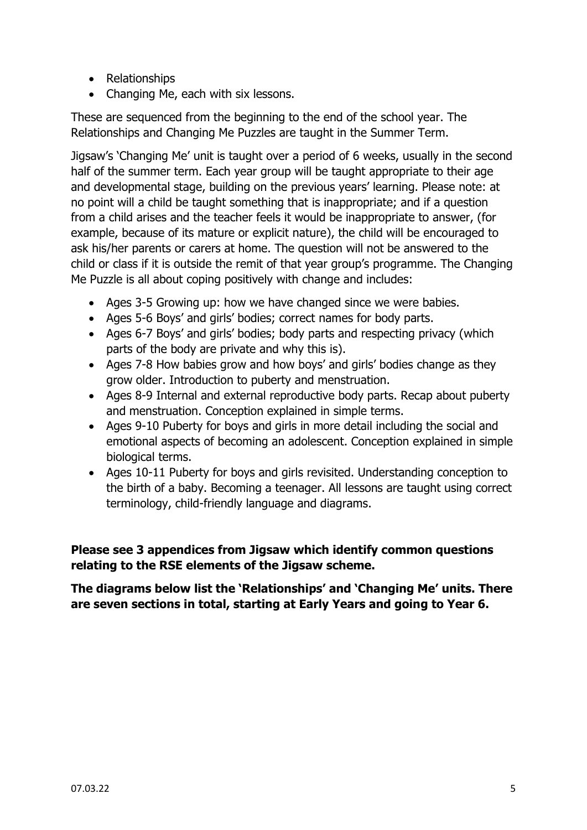- Relationships
- Changing Me, each with six lessons.

These are sequenced from the beginning to the end of the school year. The Relationships and Changing Me Puzzles are taught in the Summer Term.

Jigsaw's 'Changing Me' unit is taught over a period of 6 weeks, usually in the second half of the summer term. Each year group will be taught appropriate to their age and developmental stage, building on the previous years' learning. Please note: at no point will a child be taught something that is inappropriate; and if a question from a child arises and the teacher feels it would be inappropriate to answer, (for example, because of its mature or explicit nature), the child will be encouraged to ask his/her parents or carers at home. The question will not be answered to the child or class if it is outside the remit of that year group's programme. The Changing Me Puzzle is all about coping positively with change and includes:

- Ages 3-5 Growing up: how we have changed since we were babies.
- Ages 5-6 Boys' and girls' bodies; correct names for body parts.
- Ages 6-7 Boys' and girls' bodies; body parts and respecting privacy (which parts of the body are private and why this is).
- Ages 7-8 How babies grow and how boys' and girls' bodies change as they grow older. Introduction to puberty and menstruation.
- Ages 8-9 Internal and external reproductive body parts. Recap about puberty and menstruation. Conception explained in simple terms.
- Ages 9-10 Puberty for boys and girls in more detail including the social and emotional aspects of becoming an adolescent. Conception explained in simple biological terms.
- Ages 10-11 Puberty for boys and girls revisited. Understanding conception to the birth of a baby. Becoming a teenager. All lessons are taught using correct terminology, child-friendly language and diagrams.

**Please see 3 appendices from Jigsaw which identify common questions relating to the RSE elements of the Jigsaw scheme.** 

**The diagrams below list the 'Relationships' and 'Changing Me' units. There are seven sections in total, starting at Early Years and going to Year 6.**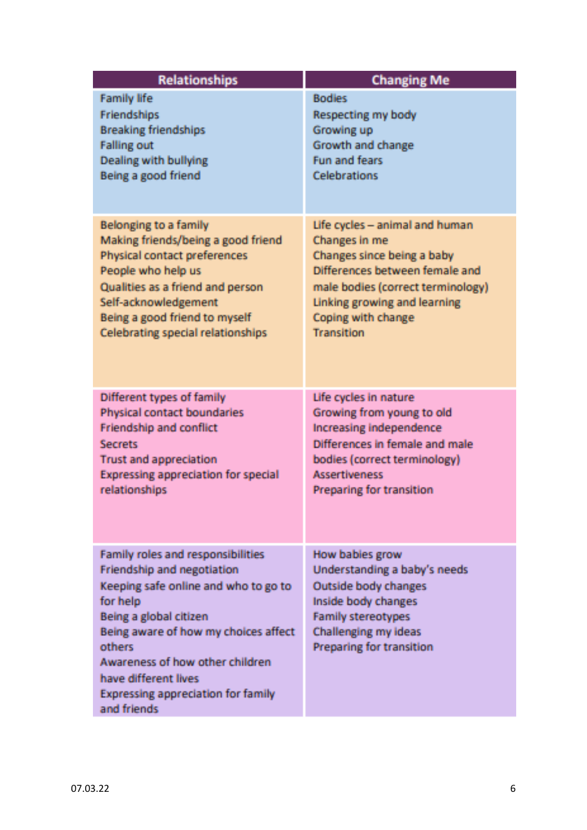| <b>Relationships</b>                                                                                                                                                                                                                                                                                                   | <b>Changing Me</b>                                                                                                                                                                     |
|------------------------------------------------------------------------------------------------------------------------------------------------------------------------------------------------------------------------------------------------------------------------------------------------------------------------|----------------------------------------------------------------------------------------------------------------------------------------------------------------------------------------|
| <b>Family life</b>                                                                                                                                                                                                                                                                                                     | <b>Bodies</b>                                                                                                                                                                          |
| <b>Friendships</b>                                                                                                                                                                                                                                                                                                     | Respecting my body                                                                                                                                                                     |
| <b>Breaking friendships</b>                                                                                                                                                                                                                                                                                            | Growing up                                                                                                                                                                             |
| <b>Falling out</b>                                                                                                                                                                                                                                                                                                     | Growth and change                                                                                                                                                                      |
| Dealing with bullying                                                                                                                                                                                                                                                                                                  | <b>Fun and fears</b>                                                                                                                                                                   |
| Being a good friend                                                                                                                                                                                                                                                                                                    | Celebrations                                                                                                                                                                           |
| <b>Belonging to a family</b>                                                                                                                                                                                                                                                                                           | Life cycles - animal and human                                                                                                                                                         |
| Making friends/being a good friend                                                                                                                                                                                                                                                                                     | Changes in me                                                                                                                                                                          |
| Physical contact preferences                                                                                                                                                                                                                                                                                           | Changes since being a baby                                                                                                                                                             |
| People who help us                                                                                                                                                                                                                                                                                                     | Differences between female and                                                                                                                                                         |
| Qualities as a friend and person                                                                                                                                                                                                                                                                                       | male bodies (correct terminology)                                                                                                                                                      |
| Self-acknowledgement                                                                                                                                                                                                                                                                                                   | Linking growing and learning                                                                                                                                                           |
| Being a good friend to myself                                                                                                                                                                                                                                                                                          | Coping with change                                                                                                                                                                     |
| <b>Celebrating special relationships</b>                                                                                                                                                                                                                                                                               | <b>Transition</b>                                                                                                                                                                      |
| Different types of family                                                                                                                                                                                                                                                                                              | Life cycles in nature                                                                                                                                                                  |
| Physical contact boundaries                                                                                                                                                                                                                                                                                            | Growing from young to old                                                                                                                                                              |
| Friendship and conflict                                                                                                                                                                                                                                                                                                | Increasing independence                                                                                                                                                                |
| <b>Secrets</b>                                                                                                                                                                                                                                                                                                         | Differences in female and male                                                                                                                                                         |
| <b>Trust and appreciation</b>                                                                                                                                                                                                                                                                                          | bodies (correct terminology)                                                                                                                                                           |
| Expressing appreciation for special                                                                                                                                                                                                                                                                                    | <b>Assertiveness</b>                                                                                                                                                                   |
| relationships                                                                                                                                                                                                                                                                                                          | <b>Preparing for transition</b>                                                                                                                                                        |
| Family roles and responsibilities<br>Friendship and negotiation<br>Keeping safe online and who to go to<br>for help<br>Being a global citizen<br>Being aware of how my choices affect<br>others<br>Awareness of how other children<br>have different lives<br><b>Expressing appreciation for family</b><br>and friends | How bables grow<br>Understanding a baby's needs<br>Outside body changes<br>Inside body changes<br><b>Family stereotypes</b><br>Challenging my ideas<br><b>Preparing for transition</b> |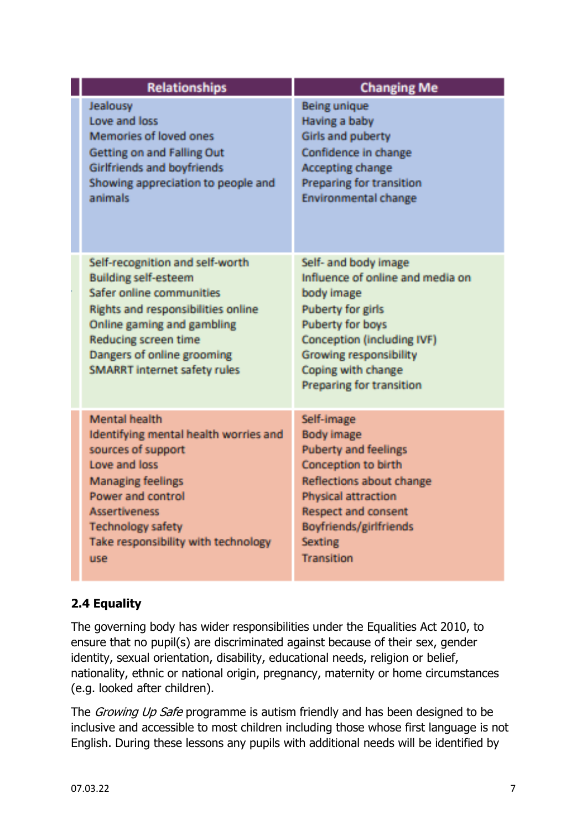| <b>Relationships</b>                                                                                                                                                                                                                                               | <b>Changing Me</b>                                                                                                                                                                                                                             |
|--------------------------------------------------------------------------------------------------------------------------------------------------------------------------------------------------------------------------------------------------------------------|------------------------------------------------------------------------------------------------------------------------------------------------------------------------------------------------------------------------------------------------|
| Jealousy<br>Love and loss<br>Memories of loved ones<br>Getting on and Falling Out<br>Girlfriends and boyfriends<br>Showing appreciation to people and<br>animals                                                                                                   | <b>Being unique</b><br>Having a baby<br>Girls and puberty<br>Confidence in change<br><b>Accepting change</b><br>Preparing for transition<br><b>Environmental change</b>                                                                        |
| Self-recognition and self-worth<br><b>Building self-esteem</b><br>Safer online communities<br><b>Rights and responsibilities online</b><br>Online gaming and gambling<br>Reducing screen time<br>Dangers of online grooming<br><b>SMARRT internet safety rules</b> | Self- and body image<br>Influence of online and media on<br>body image<br><b>Puberty for girls</b><br>Puberty for boys<br><b>Conception (including IVF)</b><br><b>Growing responsibility</b><br>Coping with change<br>Preparing for transition |
| <b>Mental health</b><br>Identifying mental health worries and<br>sources of support<br>Love and loss<br><b>Managing feelings</b><br>Power and control<br><b>Assertiveness</b><br><b>Technology safety</b><br>Take responsibility with technology<br>use            | Self-Image<br><b>Body image</b><br><b>Puberty and feelings</b><br>Conception to birth<br>Reflections about change<br>Physical attraction<br><b>Respect and consent</b><br>Boyfriends/girlfriends<br><b>Sexting</b><br><b>Transition</b>        |

## **2.4 Equality**

The governing body has wider responsibilities under the Equalities Act 2010, to ensure that no pupil(s) are discriminated against because of their sex, gender identity, sexual orientation, disability, educational needs, religion or belief, nationality, ethnic or national origin, pregnancy, maternity or home circumstances (e.g. looked after children).

The *Growing Up Safe* programme is autism friendly and has been designed to be inclusive and accessible to most children including those whose first language is not English. During these lessons any pupils with additional needs will be identified by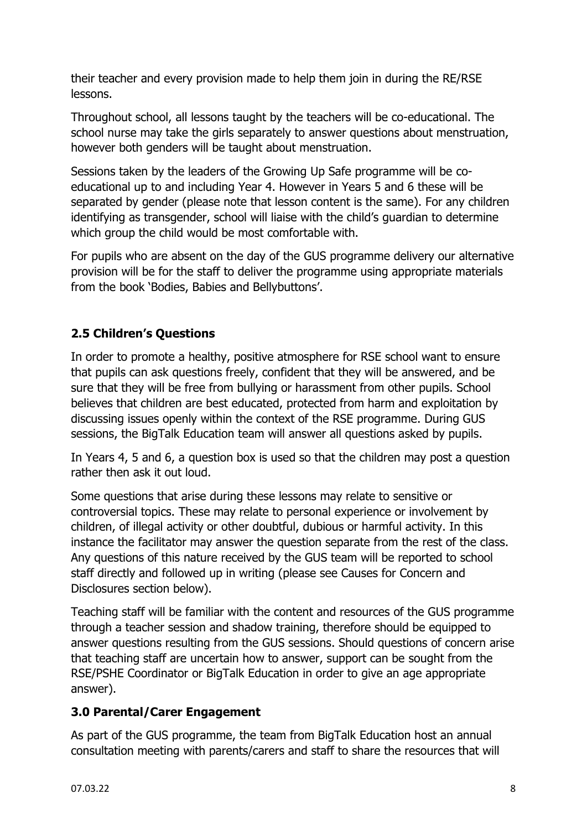their teacher and every provision made to help them join in during the RE/RSE lessons.

Throughout school, all lessons taught by the teachers will be co-educational. The school nurse may take the girls separately to answer questions about menstruation, however both genders will be taught about menstruation.

Sessions taken by the leaders of the Growing Up Safe programme will be coeducational up to and including Year 4. However in Years 5 and 6 these will be separated by gender (please note that lesson content is the same). For any children identifying as transgender, school will liaise with the child's guardian to determine which group the child would be most comfortable with.

For pupils who are absent on the day of the GUS programme delivery our alternative provision will be for the staff to deliver the programme using appropriate materials from the book 'Bodies, Babies and Bellybuttons'.

# **2.5 Children's Questions**

In order to promote a healthy, positive atmosphere for RSE school want to ensure that pupils can ask questions freely, confident that they will be answered, and be sure that they will be free from bullying or harassment from other pupils. School believes that children are best educated, protected from harm and exploitation by discussing issues openly within the context of the RSE programme. During GUS sessions, the BigTalk Education team will answer all questions asked by pupils.

In Years 4, 5 and 6, a question box is used so that the children may post a question rather then ask it out loud.

Some questions that arise during these lessons may relate to sensitive or controversial topics. These may relate to personal experience or involvement by children, of illegal activity or other doubtful, dubious or harmful activity. In this instance the facilitator may answer the question separate from the rest of the class. Any questions of this nature received by the GUS team will be reported to school staff directly and followed up in writing (please see Causes for Concern and Disclosures section below).

Teaching staff will be familiar with the content and resources of the GUS programme through a teacher session and shadow training, therefore should be equipped to answer questions resulting from the GUS sessions. Should questions of concern arise that teaching staff are uncertain how to answer, support can be sought from the RSE/PSHE Coordinator or BigTalk Education in order to give an age appropriate answer).

## **3.0 Parental/Carer Engagement**

As part of the GUS programme, the team from BigTalk Education host an annual consultation meeting with parents/carers and staff to share the resources that will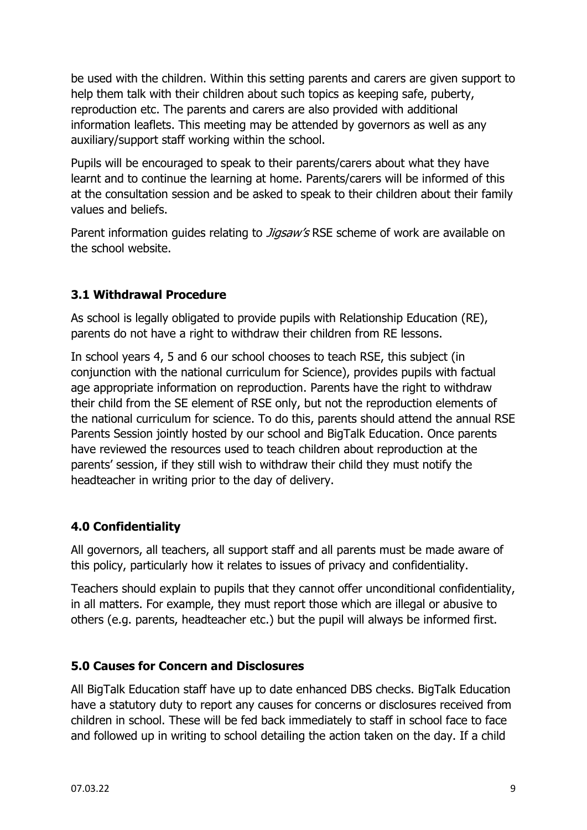be used with the children. Within this setting parents and carers are given support to help them talk with their children about such topics as keeping safe, puberty, reproduction etc. The parents and carers are also provided with additional information leaflets. This meeting may be attended by governors as well as any auxiliary/support staff working within the school.

Pupils will be encouraged to speak to their parents/carers about what they have learnt and to continue the learning at home. Parents/carers will be informed of this at the consultation session and be asked to speak to their children about their family values and beliefs.

Parent information guides relating to *Jigsaw's* RSE scheme of work are available on the school website.

## **3.1 Withdrawal Procedure**

As school is legally obligated to provide pupils with Relationship Education (RE), parents do not have a right to withdraw their children from RE lessons.

In school years 4, 5 and 6 our school chooses to teach RSE, this subject (in conjunction with the national curriculum for Science), provides pupils with factual age appropriate information on reproduction. Parents have the right to withdraw their child from the SE element of RSE only, but not the reproduction elements of the national curriculum for science. To do this, parents should attend the annual RSE Parents Session jointly hosted by our school and BigTalk Education. Once parents have reviewed the resources used to teach children about reproduction at the parents' session, if they still wish to withdraw their child they must notify the headteacher in writing prior to the day of delivery.

## **4.0 Confidentiality**

All governors, all teachers, all support staff and all parents must be made aware of this policy, particularly how it relates to issues of privacy and confidentiality.

Teachers should explain to pupils that they cannot offer unconditional confidentiality, in all matters. For example, they must report those which are illegal or abusive to others (e.g. parents, headteacher etc.) but the pupil will always be informed first.

#### **5.0 Causes for Concern and Disclosures**

All BigTalk Education staff have up to date enhanced DBS checks. BigTalk Education have a statutory duty to report any causes for concerns or disclosures received from children in school. These will be fed back immediately to staff in school face to face and followed up in writing to school detailing the action taken on the day. If a child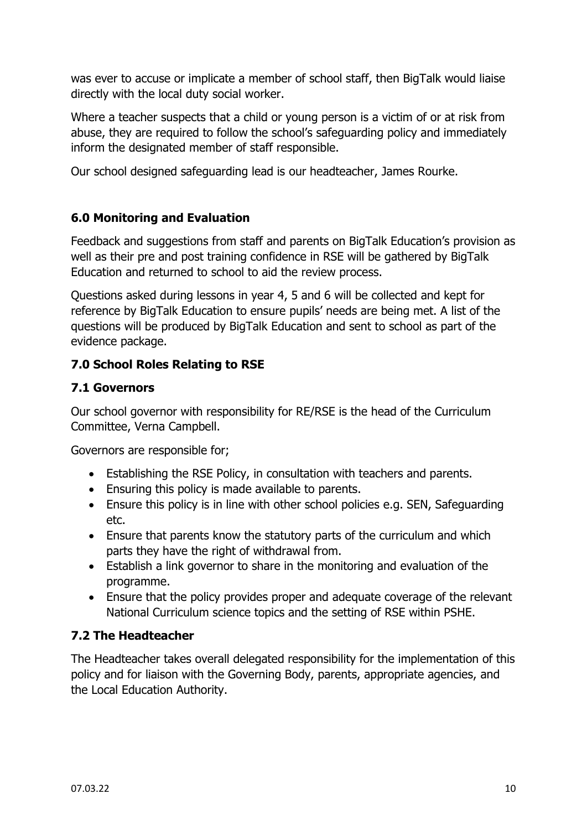was ever to accuse or implicate a member of school staff, then BigTalk would liaise directly with the local duty social worker.

Where a teacher suspects that a child or young person is a victim of or at risk from abuse, they are required to follow the school's safeguarding policy and immediately inform the designated member of staff responsible.

Our school designed safeguarding lead is our headteacher, James Rourke.

## **6.0 Monitoring and Evaluation**

Feedback and suggestions from staff and parents on BigTalk Education's provision as well as their pre and post training confidence in RSE will be gathered by BigTalk Education and returned to school to aid the review process.

Questions asked during lessons in year 4, 5 and 6 will be collected and kept for reference by BigTalk Education to ensure pupils' needs are being met. A list of the questions will be produced by BigTalk Education and sent to school as part of the evidence package.

## **7.0 School Roles Relating to RSE**

## **7.1 Governors**

Our school governor with responsibility for RE/RSE is the head of the Curriculum Committee, Verna Campbell.

Governors are responsible for;

- Establishing the RSE Policy, in consultation with teachers and parents.
- Ensuring this policy is made available to parents.
- Ensure this policy is in line with other school policies e.g. SEN, Safeguarding etc.
- Ensure that parents know the statutory parts of the curriculum and which parts they have the right of withdrawal from.
- Establish a link governor to share in the monitoring and evaluation of the programme.
- Ensure that the policy provides proper and adequate coverage of the relevant National Curriculum science topics and the setting of RSE within PSHE.

## **7.2 The Headteacher**

The Headteacher takes overall delegated responsibility for the implementation of this policy and for liaison with the Governing Body, parents, appropriate agencies, and the Local Education Authority.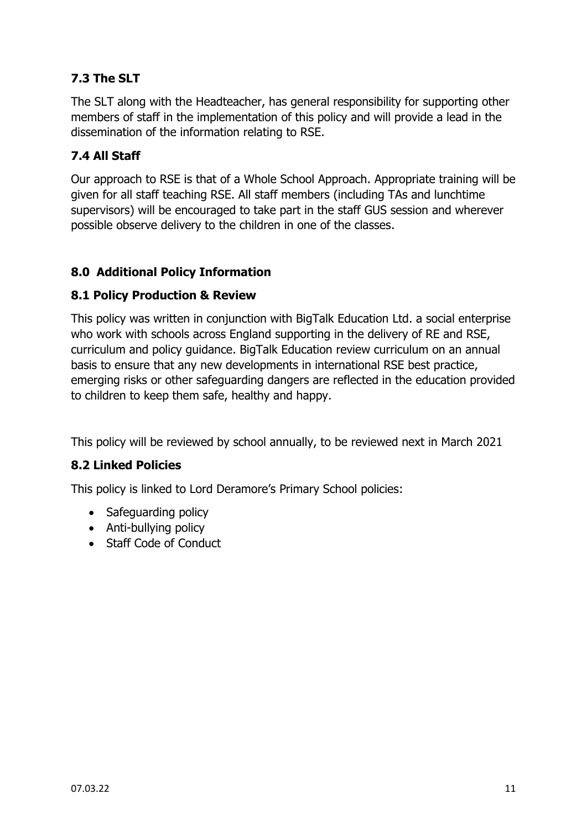# **7.3 The SLT**

The SLT along with the Headteacher, has general responsibility for supporting other members of staff in the implementation of this policy and will provide a lead in the dissemination of the information relating to RSE.

# **7.4 All Staff**

Our approach to RSE is that of a Whole School Approach. Appropriate training will be given for all staff teaching RSE. All staff members (including TAs and lunchtime supervisors) will be encouraged to take part in the staff GUS session and wherever possible observe delivery to the children in one of the classes.

## **8.0 Additional Policy Information**

#### **8.1 Policy Production & Review**

This policy was written in conjunction with BigTalk Education Ltd. a social enterprise who work with schools across England supporting in the delivery of RE and RSE, curriculum and policy guidance. BigTalk Education review curriculum on an annual basis to ensure that any new developments in international RSE best practice, emerging risks or other safeguarding dangers are reflected in the education provided to children to keep them safe, healthy and happy.

This policy will be reviewed by school annually, to be reviewed next in March 2021

## **8.2 Linked Policies**

This policy is linked to Lord Deramore's Primary School policies:

- Safeguarding policy
- Anti-bullying policy
- Staff Code of Conduct